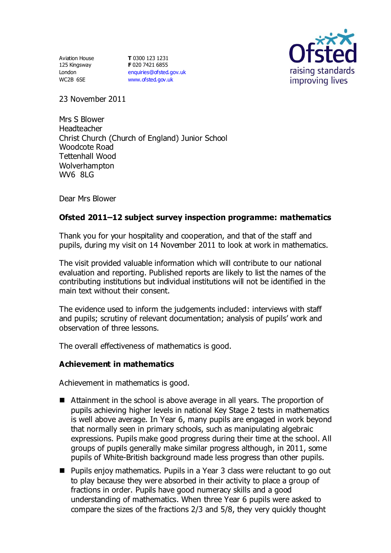Aviation House 125 Kingsway London WC2B 6SE

**T** 0300 123 1231 **F** 020 7421 6855 [enquiries@ofsted.gov.uk](mailto:enquiries@ofsted.gov.uk) [www.ofsted.gov.uk](http://www.ofsted.gov.uk/)



23 November 2011

Mrs S Blower Headteacher Christ Church (Church of England) Junior School Woodcote Road Tettenhall Wood Wolverhampton WV6 8LG

Dear Mrs Blower

# **Ofsted 2011–12 subject survey inspection programme: mathematics**

Thank you for your hospitality and cooperation, and that of the staff and pupils, during my visit on 14 November 2011 to look at work in mathematics.

The visit provided valuable information which will contribute to our national evaluation and reporting. Published reports are likely to list the names of the contributing institutions but individual institutions will not be identified in the main text without their consent.

The evidence used to inform the judgements included: interviews with staff and pupils; scrutiny of relevant documentation; analysis of pupils' work and observation of three lessons.

The overall effectiveness of mathematics is good.

## **Achievement in mathematics**

Achievement in mathematics is good.

- Attainment in the school is above average in all years. The proportion of pupils achieving higher levels in national Key Stage 2 tests in mathematics is well above average. In Year 6, many pupils are engaged in work beyond that normally seen in primary schools, such as manipulating algebraic expressions. Pupils make good progress during their time at the school. All groups of pupils generally make similar progress although, in 2011, some pupils of White-British background made less progress than other pupils.
- Pupils enjoy mathematics. Pupils in a Year 3 class were reluctant to go out to play because they were absorbed in their activity to place a group of fractions in order. Pupils have good numeracy skills and a good understanding of mathematics. When three Year 6 pupils were asked to compare the sizes of the fractions 2/3 and 5/8, they very quickly thought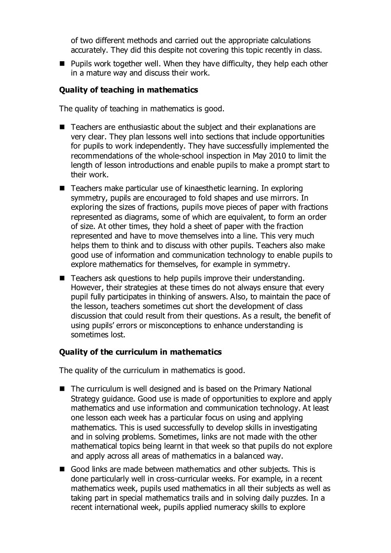of two different methods and carried out the appropriate calculations accurately. They did this despite not covering this topic recently in class.

**Pupils work together well. When they have difficulty, they help each other** in a mature way and discuss their work.

# **Quality of teaching in mathematics**

The quality of teaching in mathematics is good.

- Teachers are enthusiastic about the subject and their explanations are very clear. They plan lessons well into sections that include opportunities for pupils to work independently. They have successfully implemented the recommendations of the whole-school inspection in May 2010 to limit the length of lesson introductions and enable pupils to make a prompt start to their work.
- Teachers make particular use of kinaesthetic learning. In exploring symmetry, pupils are encouraged to fold shapes and use mirrors. In exploring the sizes of fractions, pupils move pieces of paper with fractions represented as diagrams, some of which are equivalent, to form an order of size. At other times, they hold a sheet of paper with the fraction represented and have to move themselves into a line. This very much helps them to think and to discuss with other pupils. Teachers also make good use of information and communication technology to enable pupils to explore mathematics for themselves, for example in symmetry.
- Teachers ask questions to help pupils improve their understanding. However, their strategies at these times do not always ensure that every pupil fully participates in thinking of answers. Also, to maintain the pace of the lesson, teachers sometimes cut short the development of class discussion that could result from their questions. As a result, the benefit of using pupils' errors or misconceptions to enhance understanding is sometimes lost.

## **Quality of the curriculum in mathematics**

The quality of the curriculum in mathematics is good.

- The curriculum is well designed and is based on the Primary National Strategy guidance. Good use is made of opportunities to explore and apply mathematics and use information and communication technology. At least one lesson each week has a particular focus on using and applying mathematics. This is used successfully to develop skills in investigating and in solving problems. Sometimes, links are not made with the other mathematical topics being learnt in that week so that pupils do not explore and apply across all areas of mathematics in a balanced way.
- Good links are made between mathematics and other subjects. This is done particularly well in cross-curricular weeks. For example, in a recent mathematics week, pupils used mathematics in all their subjects as well as taking part in special mathematics trails and in solving daily puzzles. In a recent international week, pupils applied numeracy skills to explore